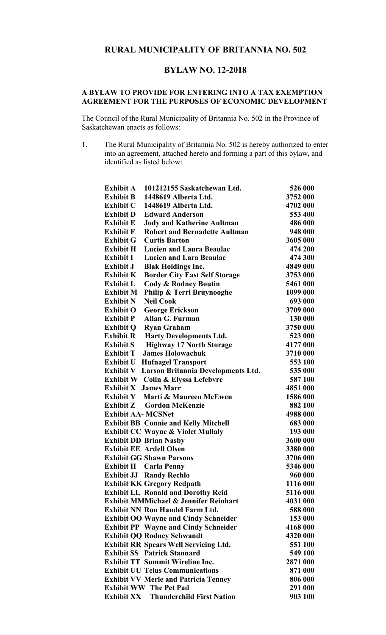## **RURAL MUNICIPALITY OF BRITANNIA NO. 502**

## **BYLAW NO. 12-2018**

## **A BYLAW TO PROVIDE FOR ENTERING INTO A TAX EXEMPTION AGREEMENT FOR THE PURPOSES OF ECONOMIC DEVELOPMENT**

The Council of the Rural Municipality of Britannia No. 502 in the Province of Saskatchewan enacts as follows:

1. The Rural Municipality of Britannia No. 502 is hereby authorized to enter into an agreement, attached hereto and forming a part of this bylaw, and identified as listed below:

| <b>Exhibit A</b><br>101212155 Saskatchewan Ltd.                                    | 526 000              |
|------------------------------------------------------------------------------------|----------------------|
| Exhibit B 1448619 Alberta Ltd.                                                     | 3752 000             |
| Exhibit C 1448619 Alberta Ltd.                                                     | 4702 000             |
| <b>Exhibit D</b><br><b>Edward Anderson</b>                                         | 553 400              |
| <b>Exhibit E</b><br><b>Jody and Katherine Aultman</b>                              | 486 000              |
| <b>Robert and Bernadette Aultman</b><br><b>Exhibit F</b>                           | 948 000              |
| <b>Exhibit G</b><br><b>Curtis Barton</b>                                           | 3605 000             |
| <b>Exhibit H</b><br><b>Lucien and Laura Beaulac</b>                                | 474 200              |
| <b>Lucien and Lara Beaulac</b><br>Exhibit I                                        | 474 300              |
| <b>Blak Holdings Inc.</b><br>Exhibit J                                             | 4849 000             |
| <b>Exhibit K</b><br><b>Border City East Self Storage</b>                           | 3753 000             |
| <b>Exhibit L</b><br><b>Cody &amp; Rodney Boutin</b>                                | 5461 000             |
| Philip & Terri Bruynooghe<br><b>Exhibit M</b>                                      | 1099 000             |
| <b>Neil Cook</b><br><b>Exhibit N</b>                                               | 693 000              |
| <b>Exhibit O</b><br><b>George Erickson</b>                                         | 3709 000             |
| Allan G. Furman<br><b>Exhibit P</b>                                                | 130 000              |
| <b>Exhibit Q</b><br><b>Ryan Graham</b>                                             | 3750 000             |
| <b>Exhibit R</b><br><b>Harty Developments Ltd.</b>                                 | 523 000              |
| <b>Exhibit S</b><br><b>Highway 17 North Storage</b>                                | 4177 000             |
| <b>James Holowachuk</b><br><b>Exhibit T</b>                                        | 3710 000             |
| <b>Exhibit U Hufnagel Transport</b>                                                | 553 100              |
| Exhibit V Larson Britannia Developments Ltd.                                       | 535 000              |
| <b>Exhibit W</b> Colin & Elyssa Lefebvre                                           | 587 100              |
| <b>Exhibit X James Marr</b>                                                        | 4851 000             |
| <b>Exhibit Y</b> Marti & Maureen McEwen                                            | 1586 000             |
| <b>Exhibit Z</b> Gordon McKenzie                                                   | 882 100              |
| <b>Exhibit AA- MCSNet</b>                                                          | 4988 000             |
| <b>Exhibit BB Connie and Kelly Mitchell</b>                                        | 683 000              |
| <b>Exhibit CC Wayne &amp; Violet Mullaly</b>                                       | 193 000              |
| <b>Exhibit DD Brian Nasby</b>                                                      | 3600 000             |
| <b>Exhibit EE Ardell Olsen</b>                                                     | 3380 000             |
| <b>Exhibit GG Shawn Parsons</b>                                                    | 3706 000             |
| <b>Exhibit II Carla Penny</b>                                                      | 5346 000             |
| <b>Exhibit JJ Randy Rechlo</b>                                                     | 960 000              |
| <b>Exhibit KK Gregory Redpath</b>                                                  | 1116 000             |
| <b>Exhibit LL Ronald and Dorothy Reid</b>                                          | 5116 000             |
| <b>Exhibit MMMichael &amp; Jennifer Reinhart</b>                                   | 4031 000             |
| <b>Exhibit NN Ron Handel Farm Ltd.</b>                                             | 588 000              |
| <b>Exhibit OO Wayne and Cindy Schneider</b>                                        | 153 000              |
| <b>Exhibit PP</b> Wayne and Cindy Schneider                                        | 4168 000<br>4320 000 |
| <b>Exhibit QQ Rodney Schwandt</b>                                                  |                      |
| <b>Exhibit RR Spears Well Servicing Ltd.</b><br><b>Exhibit SS</b> Patrick Stannard | 551 100              |
| <b>Exhibit TT Summit Wireline Inc.</b>                                             | 549 100<br>2871 000  |
| <b>Exhibit UU Telus Communications</b>                                             | 871 000              |
| <b>Exhibit VV Merle and Patricia Tenney</b>                                        | 806 000              |
| <b>Exhibit WW The Pet Pad</b>                                                      | 291 000              |
| <b>Exhibit XX</b> Thunderchild First Nation                                        | 903 100              |
|                                                                                    |                      |